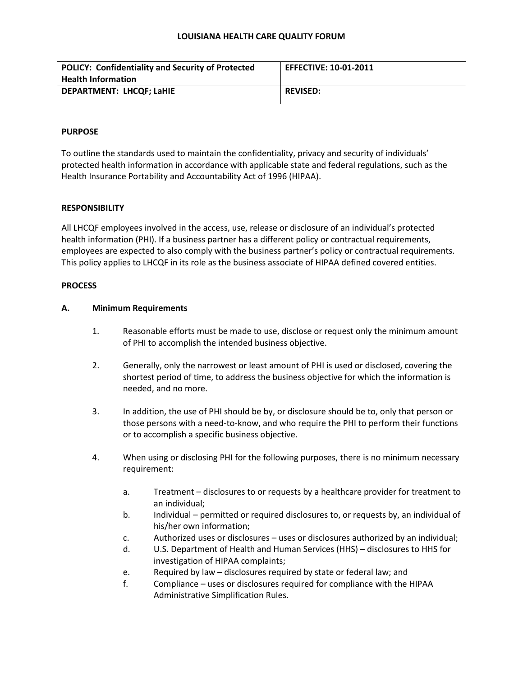| <b>POLICY: Confidentiality and Security of Protected</b> | <b>EFFECTIVE: 10-01-2011</b> |
|----------------------------------------------------------|------------------------------|
| <b>Health Information</b>                                |                              |
| <b>DEPARTMENT: LHCQF; LaHIE</b>                          | <b>REVISED:</b>              |

## **PURPOSE**

To outline the standards used to maintain the confidentiality, privacy and security of individuals' protected health information in accordance with applicable state and federal regulations, such as the Health Insurance Portability and Accountability Act of 1996 (HIPAA).

## **RESPONSIBILITY**

All LHCQF employees involved in the access, use, release or disclosure of an individual's protected health information (PHI). If a business partner has a different policy or contractual requirements, employees are expected to also comply with the business partner's policy or contractual requirements. This policy applies to LHCQF in its role as the business associate of HIPAA defined covered entities.

## **PROCESS**

## **A. Minimum Requirements**

- 1. Reasonable efforts must be made to use, disclose or request only the minimum amount of PHI to accomplish the intended business objective.
- 2. Generally, only the narrowest or least amount of PHI is used or disclosed, covering the shortest period of time, to address the business objective for which the information is needed, and no more.
- 3. In addition, the use of PHI should be by, or disclosure should be to, only that person or those persons with a need-to-know, and who require the PHI to perform their functions or to accomplish a specific business objective.
- 4. When using or disclosing PHI for the following purposes, there is no minimum necessary requirement:
	- a. Treatment disclosures to or requests by a healthcare provider for treatment to an individual;
	- b. Individual permitted or required disclosures to, or requests by, an individual of his/her own information;
	- c. Authorized uses or disclosures uses or disclosures authorized by an individual;
	- d. U.S. Department of Health and Human Services (HHS) disclosures to HHS for investigation of HIPAA complaints;
	- e. Required by law disclosures required by state or federal law; and
	- f. Compliance uses or disclosures required for compliance with the HIPAA Administrative Simplification Rules.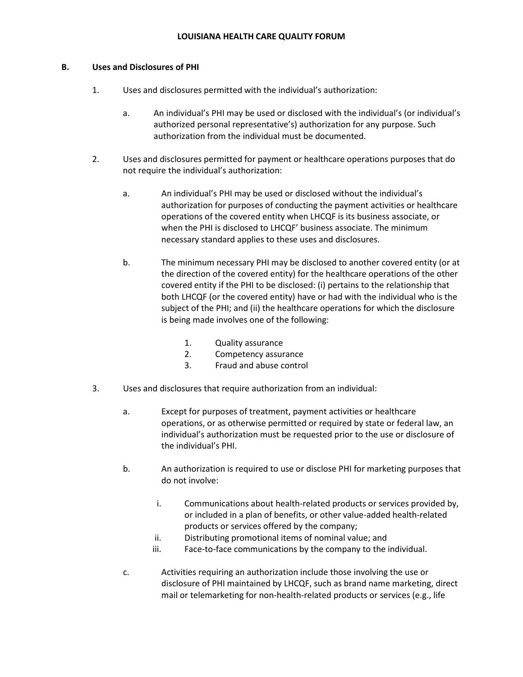### **B. Uses and Disclosures of PHI**

- 1. Uses and disclosures permitted with the individual's authorization:
	- a. An individual's PHI may be used or disclosed with the individual's (or individual's authorized personal representative's) authorization for any purpose. Such authorization from the individual must be documented.
- 2. Uses and disclosures permitted for payment or healthcare operations purposes that do not require the individual's authorization:
	- a. An individual's PHI may be used or disclosed without the individual's authorization for purposes of conducting the payment activities or healthcare operations of the covered entity when LHCQF is its business associate, or when the PHI is disclosed to LHCQF' business associate. The minimum necessary standard applies to these uses and disclosures.
	- b. The minimum necessary PHI may be disclosed to another covered entity (or at the direction of the covered entity) for the healthcare operations of the other covered entity if the PHI to be disclosed: (i) pertains to the relationship that both LHCQF (or the covered entity) have or had with the individual who is the subject of the PHI; and (ii) the healthcare operations for which the disclosure is being made involves one of the following:
		- 1. Quality assurance
		- 2. Competency assurance
		- 3. Fraud and abuse control
- 3. Uses and disclosures that require authorization from an individual:
	- a. Except for purposes of treatment, payment activities or healthcare operations, or as otherwise permitted or required by state or federal law, an individual's authorization must be requested prior to the use or disclosure of the individual's PHI.
	- b. An authorization is required to use or disclose PHI for marketing purposes that do not involve:
		- i. Communications about health-related products or services provided by, or included in a plan of benefits, or other value-added health-related products or services offered by the company;
		- ii. Distributing promotional items of nominal value; and
		- iii. Face-to-face communications by the company to the individual.
	- c. Activities requiring an authorization include those involving the use or disclosure of PHI maintained by LHCQF, such as brand name marketing, direct mail or telemarketing for non-health-related products or services (e.g., life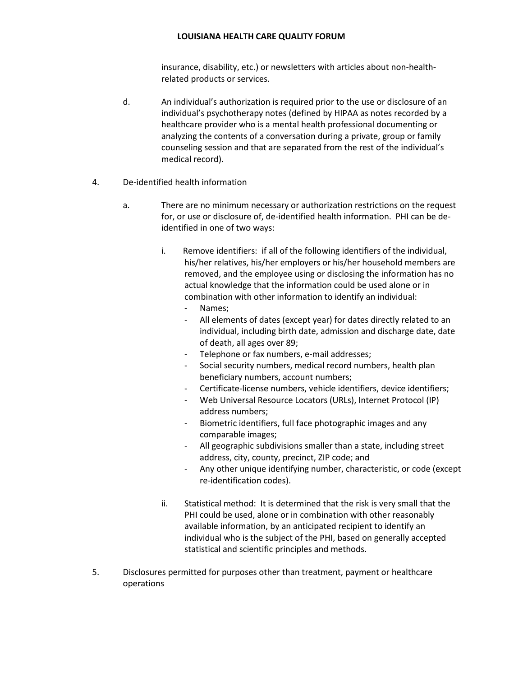insurance, disability, etc.) or newsletters with articles about non-healthrelated products or services.

- d. An individual's authorization is required prior to the use or disclosure of an individual's psychotherapy notes (defined by HIPAA as notes recorded by a healthcare provider who is a mental health professional documenting or analyzing the contents of a conversation during a private, group or family counseling session and that are separated from the rest of the individual's medical record).
- 4. De-identified health information
	- a. There are no minimum necessary or authorization restrictions on the request for, or use or disclosure of, de-identified health information. PHI can be deidentified in one of two ways:
		- i. Remove identifiers: if all of the following identifiers of the individual, his/her relatives, his/her employers or his/her household members are removed, and the employee using or disclosing the information has no actual knowledge that the information could be used alone or in combination with other information to identify an individual:
			- Names;
			- All elements of dates (except year) for dates directly related to an individual, including birth date, admission and discharge date, date of death, all ages over 89;
			- Telephone or fax numbers, e-mail addresses;
			- Social security numbers, medical record numbers, health plan beneficiary numbers, account numbers;
			- Certificate-license numbers, vehicle identifiers, device identifiers;
			- Web Universal Resource Locators (URLs), Internet Protocol (IP) address numbers;
			- Biometric identifiers, full face photographic images and any comparable images;
			- All geographic subdivisions smaller than a state, including street address, city, county, precinct, ZIP code; and
			- Any other unique identifying number, characteristic, or code (except re-identification codes).
		- ii. Statistical method: It is determined that the risk is very small that the PHI could be used, alone or in combination with other reasonably available information, by an anticipated recipient to identify an individual who is the subject of the PHI, based on generally accepted statistical and scientific principles and methods.
- 5. Disclosures permitted for purposes other than treatment, payment or healthcare operations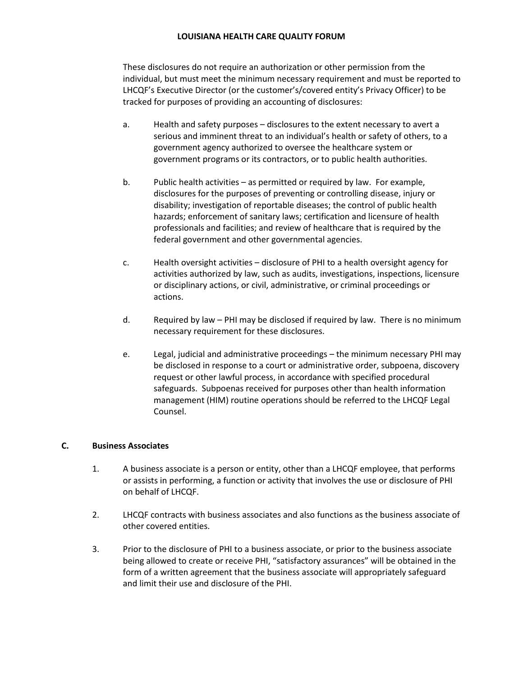These disclosures do not require an authorization or other permission from the individual, but must meet the minimum necessary requirement and must be reported to LHCQF's Executive Director (or the customer's/covered entity's Privacy Officer) to be tracked for purposes of providing an accounting of disclosures:

- a. Health and safety purposes disclosures to the extent necessary to avert a serious and imminent threat to an individual's health or safety of others, to a government agency authorized to oversee the healthcare system or government programs or its contractors, or to public health authorities.
- b. Public health activities as permitted or required by law. For example, disclosures for the purposes of preventing or controlling disease, injury or disability; investigation of reportable diseases; the control of public health hazards; enforcement of sanitary laws; certification and licensure of health professionals and facilities; and review of healthcare that is required by the federal government and other governmental agencies.
- c. Health oversight activities disclosure of PHI to a health oversight agency for activities authorized by law, such as audits, investigations, inspections, licensure or disciplinary actions, or civil, administrative, or criminal proceedings or actions.
- d. Required by law PHI may be disclosed if required by law. There is no minimum necessary requirement for these disclosures.
- e. Legal, judicial and administrative proceedings the minimum necessary PHI may be disclosed in response to a court or administrative order, subpoena, discovery request or other lawful process, in accordance with specified procedural safeguards. Subpoenas received for purposes other than health information management (HIM) routine operations should be referred to the LHCQF Legal Counsel.

## **C. Business Associates**

- 1. A business associate is a person or entity, other than a LHCQF employee, that performs or assists in performing, a function or activity that involves the use or disclosure of PHI on behalf of LHCQF.
- 2. LHCQF contracts with business associates and also functions as the business associate of other covered entities.
- 3. Prior to the disclosure of PHI to a business associate, or prior to the business associate being allowed to create or receive PHI, "satisfactory assurances" will be obtained in the form of a written agreement that the business associate will appropriately safeguard and limit their use and disclosure of the PHI.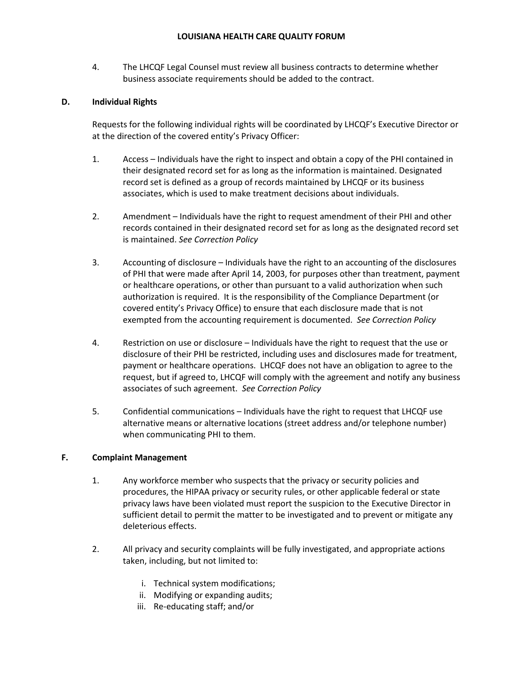4. The LHCQF Legal Counsel must review all business contracts to determine whether business associate requirements should be added to the contract.

## **D. Individual Rights**

Requests for the following individual rights will be coordinated by LHCQF's Executive Director or at the direction of the covered entity's Privacy Officer:

- 1. Access Individuals have the right to inspect and obtain a copy of the PHI contained in their designated record set for as long as the information is maintained. Designated record set is defined as a group of records maintained by LHCQF or its business associates, which is used to make treatment decisions about individuals.
- 2. Amendment Individuals have the right to request amendment of their PHI and other records contained in their designated record set for as long as the designated record set is maintained. *See Correction Policy*
- 3. Accounting of disclosure Individuals have the right to an accounting of the disclosures of PHI that were made after April 14, 2003, for purposes other than treatment, payment or healthcare operations, or other than pursuant to a valid authorization when such authorization is required. It is the responsibility of the Compliance Department (or covered entity's Privacy Office) to ensure that each disclosure made that is not exempted from the accounting requirement is documented. *See Correction Policy*
- 4. Restriction on use or disclosure Individuals have the right to request that the use or disclosure of their PHI be restricted, including uses and disclosures made for treatment, payment or healthcare operations. LHCQF does not have an obligation to agree to the request, but if agreed to, LHCQF will comply with the agreement and notify any business associates of such agreement. *See Correction Policy*
- 5. Confidential communications Individuals have the right to request that LHCQF use alternative means or alternative locations (street address and/or telephone number) when communicating PHI to them.

## **F. Complaint Management**

- 1. Any workforce member who suspects that the privacy or security policies and procedures, the HIPAA privacy or security rules, or other applicable federal or state privacy laws have been violated must report the suspicion to the Executive Director in sufficient detail to permit the matter to be investigated and to prevent or mitigate any deleterious effects.
- 2. All privacy and security complaints will be fully investigated, and appropriate actions taken, including, but not limited to:
	- i. Technical system modifications;
	- ii. Modifying or expanding audits;
	- iii. Re-educating staff; and/or